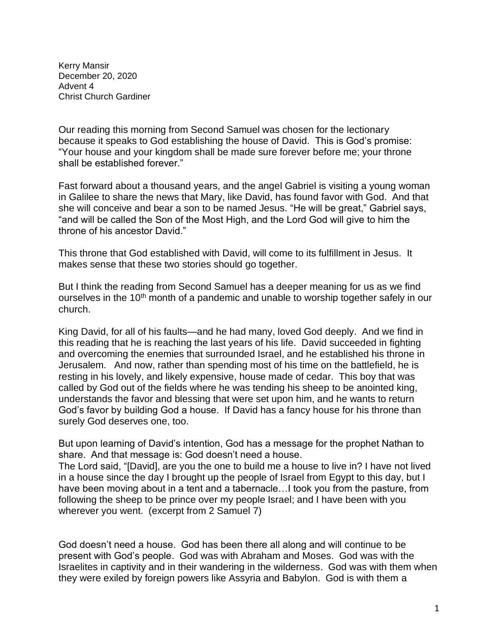Kerry Mansir December 20, 2020 Advent 4 Christ Church Gardiner

Our reading this morning from Second Samuel was chosen for the lectionary because it speaks to God establishing the house of David. This is God's promise: "Your house and your kingdom shall be made sure forever before me; your throne shall be established forever."

Fast forward about a thousand years, and the angel Gabriel is visiting a young woman in Galilee to share the news that Mary, like David, has found favor with God. And that she will conceive and bear a son to be named Jesus. "He will be great," Gabriel says, "and will be called the Son of the Most High, and the Lord God will give to him the throne of his ancestor David."

This throne that God established with David, will come to its fulfillment in Jesus. It makes sense that these two stories should go together.

But I think the reading from Second Samuel has a deeper meaning for us as we find ourselves in the 10<sup>th</sup> month of a pandemic and unable to worship together safely in our church.

King David, for all of his faults—and he had many, loved God deeply. And we find in this reading that he is reaching the last years of his life. David succeeded in fighting and overcoming the enemies that surrounded Israel, and he established his throne in Jerusalem. And now, rather than spending most of his time on the battlefield, he is resting in his lovely, and likely expensive, house made of cedar. This boy that was called by God out of the fields where he was tending his sheep to be anointed king, understands the favor and blessing that were set upon him, and he wants to return God's favor by building God a house. If David has a fancy house for his throne than surely God deserves one, too.

But upon learning of David's intention, God has a message for the prophet Nathan to share. And that message is: God doesn't need a house.

The Lord said, "[David], are you the one to build me a house to live in? I have not lived in a house since the day I brought up the people of Israel from Egypt to this day, but I have been moving about in a tent and a tabernacle…I took you from the pasture, from following the sheep to be prince over my people Israel; and I have been with you wherever you went. (excerpt from 2 Samuel 7)

God doesn't need a house. God has been there all along and will continue to be present with God's people. God was with Abraham and Moses. God was with the Israelites in captivity and in their wandering in the wilderness. God was with them when they were exiled by foreign powers like Assyria and Babylon. God is with them a